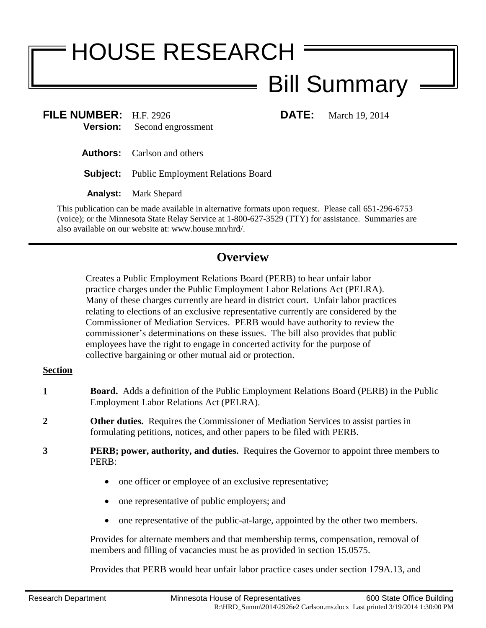# HOUSE RESEARCH

# Bill Summary

**FILE NUMBER:** H.F. 2926 **DATE:** March 19, 2014 **Version:** Second engrossment

**Authors:** Carlson and others

**Subject:** Public Employment Relations Board

**Analyst:** Mark Shepard

This publication can be made available in alternative formats upon request. Please call 651-296-6753 (voice); or the Minnesota State Relay Service at 1-800-627-3529 (TTY) for assistance. Summaries are also available on our website at: www.house.mn/hrd/.

## **Overview**

Creates a Public Employment Relations Board (PERB) to hear unfair labor practice charges under the Public Employment Labor Relations Act (PELRA). Many of these charges currently are heard in district court. Unfair labor practices relating to elections of an exclusive representative currently are considered by the Commissioner of Mediation Services. PERB would have authority to review the commissioner's determinations on these issues. The bill also provides that public employees have the right to engage in concerted activity for the purpose of collective bargaining or other mutual aid or protection.

### **Section**

- **1 Board.** Adds a definition of the Public Employment Relations Board (PERB) in the Public Employment Labor Relations Act (PELRA).
- **2 Other duties.** Requires the Commissioner of Mediation Services to assist parties in formulating petitions, notices, and other papers to be filed with PERB.
- **3 PERB; power, authority, and duties.** Requires the Governor to appoint three members to PERB:
	- one officer or employee of an exclusive representative;
	- one representative of public employers; and
	- one representative of the public-at-large, appointed by the other two members.

Provides for alternate members and that membership terms, compensation, removal of members and filling of vacancies must be as provided in section 15.0575.

Provides that PERB would hear unfair labor practice cases under section 179A.13, and